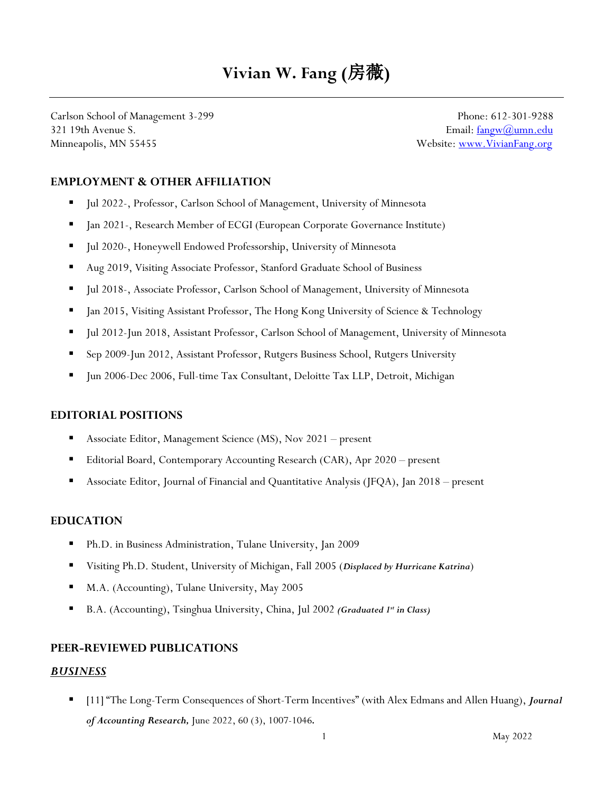# **Vivian W. Fang (**房薇**)**

Carlson School of Management 3-299 Phone: 612-301-9288 321 19th Avenue S. **Email:** [fangw@umn.edu](mailto:fangw@umn.edu) Minneapolis, MN 55455 Website: www.VivianFang.org

### **EMPLOYMENT & OTHER AFFILIATION**

- Jul 2022-, Professor, Carlson School of Management, University of Minnesota
- Jan 2021-, Research Member of ECGI (European Corporate Governance Institute)
- Jul 2020-, Honeywell Endowed Professorship, University of Minnesota
- Aug 2019, Visiting Associate Professor, Stanford Graduate School of Business
- Jul 2018-, Associate Professor, Carlson School of Management, University of Minnesota
- **•** Jan 2015, Visiting Assistant Professor, The Hong Kong University of Science & Technology
- Jul 2012-Jun 2018, Assistant Professor, Carlson School of Management, University of Minnesota
- Sep 2009-Jun 2012, Assistant Professor, Rutgers Business School, Rutgers University
- Jun 2006-Dec 2006, Full-time Tax Consultant, Deloitte Tax LLP, Detroit, Michigan

#### **EDITORIAL POSITIONS**

- Associate Editor, Management Science (MS), Nov 2021 present
- Editorial Board, Contemporary Accounting Research (CAR), Apr 2020 present
- Associate Editor, Journal of Financial and Quantitative Analysis (JFQA), Jan 2018 present

#### **EDUCATION**

- Ph.D. in Business Administration, Tulane University, Jan 2009
- Visiting Ph.D. Student, University of Michigan, Fall 2005 (Displaced by Hurricane Katrina)
- M.A. (Accounting), Tulane University, May 2005
- B.A. (Accounting), Tsinghua University, China, Jul 2002 *(Graduated 1<sup>st</sup>* in Class)

#### **PEER-REVIEWED PUBLICATIONS**

#### *BUSINESS*

▪ [11] "The Long-Term Consequences of Short-Term Incentives" (with Alex Edmans and Allen Huang), *Journal of Accounting Research,* June 2022, 60 (3), 1007-1046*.*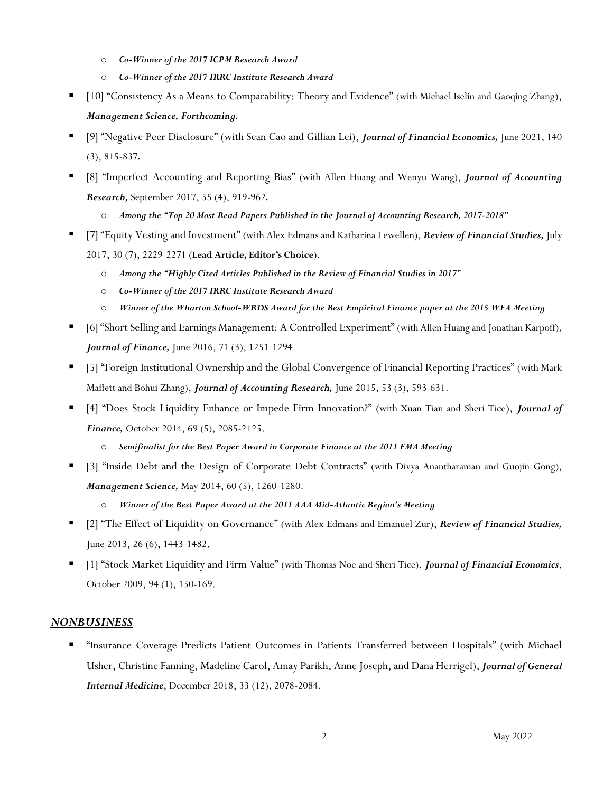- o *Co-Winner of the 2017 ICPM Research Award*
- o *Co-Winner of the 2017 IRRC Institute Research Award*
- [10] "Consistency As a Means to Comparability: Theory and Evidence" (with Michael Iselin and Gaoqing Zhang), *Management Science, Forthcoming.*
- [9] "Negative Peer Disclosure" (with Sean Cao and Gillian Lei), *Journal of Financial Economics,* June 2021, 140 (3), 815-837*.*
- [8] "Imperfect Accounting and Reporting Bias" (with Allen Huang and Wenyu Wang), *Journal of Accounting Research,* September 2017, 55 (4), 919-962*.*
	- o *Among the "Top 20 Most Read Papers Published in the Journal of Accounting Research, 2017-2018"*
- [7] "Equity Vesting and Investment" (with Alex Edmans and Katharina Lewellen), *Review of Financial Studies,* July 2017, 30 (7), 2229-2271 (**Lead Article, Editor's Choice**).
	- o *Among the "Highly Cited Articles Published in the Review of Financial Studies in 2017"*
	- o *Co-Winner of the 2017 IRRC Institute Research Award*
	- o *Winner of the Wharton School-WRDS Award for the Best Empirical Finance paper at the 2015 WFA Meeting*
- [6] "Short Selling and Earnings Management: A Controlled Experiment" (with Allen Huang and Jonathan Karpoff), *Journal of Finance,* June 2016, 71 (3), 1251-1294.
- [5] "Foreign Institutional Ownership and the Global Convergence of Financial Reporting Practices" (with Mark Maffett and Bohui Zhang), *Journal of Accounting Research,* June 2015, 53 (3), 593-631.
- [4] "Does Stock Liquidity Enhance or Impede Firm Innovation?" (with Xuan Tian and Sheri Tice), *Journal of Finance,* October 2014, 69 (5), 2085-2125.
	- o *Semifinalist for the Best Paper Award in Corporate Finance at the 2011 FMA Meeting*
- [3] "Inside Debt and the Design of Corporate Debt Contracts" (with Divya Anantharaman and Guojin Gong), *Management Science,* May 2014, 60 (5), 1260-1280.
	- o *Winner of the Best Paper Award at the 2011 AAA Mid-Atlantic Region's Meeting*
- [2] "The Effect of Liquidity on Governance" (with Alex Edmans and Emanuel Zur), *Review of Financial Studies,*  June 2013, 26 (6), 1443-1482.
- [1] "Stock Market Liquidity and Firm Value" (with Thomas Noe and Sheri Tice), *Journal of Financial Economics*, October 2009, 94 (1), 150-169.

#### *NONBUSINESS*

▪ "Insurance Coverage Predicts Patient Outcomes in Patients Transferred between Hospitals" (with Michael Usher, Christine Fanning, Madeline Carol, Amay Parikh, Anne Joseph, and Dana Herrigel), *Journal of General Internal Medicine*, December 2018, 33 (12), 2078-2084.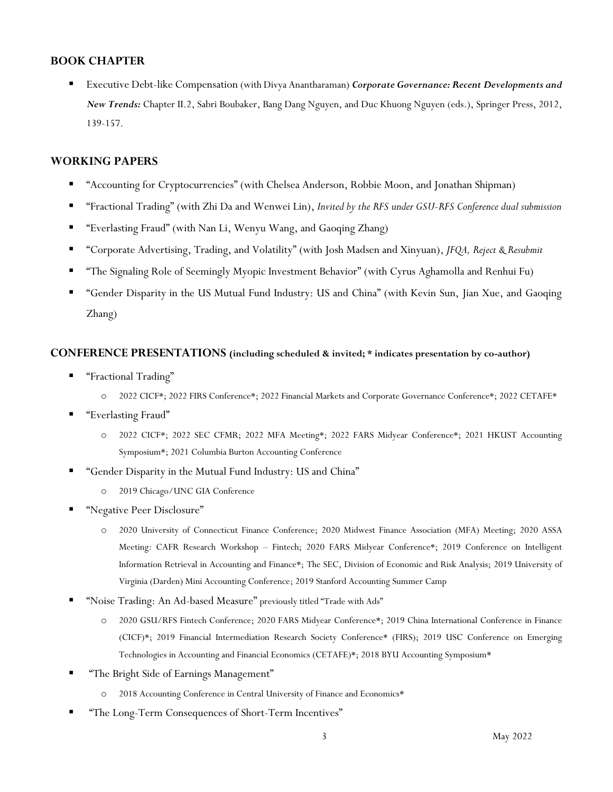## **BOOK CHAPTER**

▪ Executive Debt-like Compensation (with Divya Anantharaman) *Corporate Governance: Recent Developments and New Trends:* Chapter II.2, Sabri Boubaker, Bang Dang Nguyen, and Duc Khuong Nguyen (eds.), Springer Press, 2012, 139-157.

## **WORKING PAPERS**

- "Accounting for Cryptocurrencies" (with Chelsea Anderson, Robbie Moon, and Jonathan Shipman)
- "Fractional Trading" (with Zhi Da and Wenwei Lin), *Invited by the RFS under GSU-RFS Conference dual submission*
- "Everlasting Fraud" (with Nan Li, Wenyu Wang, and Gaoqing Zhang)
- "Corporate Advertising, Trading, and Volatility" (with Josh Madsen and Xinyuan), *JFQA, Reject & Resubmit*
- "The Signaling Role of Seemingly Myopic Investment Behavior" (with Cyrus Aghamolla and Renhui Fu)
- "Gender Disparity in the US Mutual Fund Industry: US and China" (with Kevin Sun, Jian Xue, and Gaoqing Zhang)

#### **CONFERENCE PRESENTATIONS (including scheduled & invited; \* indicates presentation by co-author)**

- "Fractional Trading"
	- o 2022 CICF\*; 2022 FIRS Conference\*; 2022 Financial Markets and Corporate Governance Conference\*; 2022 CETAFE\*
- "Everlasting Fraud"
	- o 2022 CICF\*; 2022 SEC CFMR; 2022 MFA Meeting\*; 2022 FARS Midyear Conference\*; 2021 HKUST Accounting Symposium\*; 2021 Columbia Burton Accounting Conference
- "Gender Disparity in the Mutual Fund Industry: US and China"
	- o 2019 Chicago/UNC GIA Conference
- "Negative Peer Disclosure"
	- o 2020 University of Connecticut Finance Conference; 2020 Midwest Finance Association (MFA) Meeting; 2020 ASSA Meeting: CAFR Research Workshop – Fintech; 2020 FARS Midyear Conference\*; 2019 Conference on Intelligent Information Retrieval in Accounting and Finance\*; The SEC, Division of Economic and Risk Analysis; 2019 University of Virginia (Darden) Mini Accounting Conference; 2019 Stanford Accounting Summer Camp
- "Noise Trading: An Ad-based Measure" previously titled "Trade with Ads"
	- o 2020 GSU/RFS Fintech Conference; 2020 FARS Midyear Conference\*; 2019 China International Conference in Finance (CICF)\*; 2019 Financial Intermediation Research Society Conference\* (FIRS); 2019 USC Conference on Emerging Technologies in Accounting and Financial Economics (CETAFE)\*; 2018 BYU Accounting Symposium\*
- "The Bright Side of Earnings Management"
	- o 2018 Accounting Conference in Central University of Finance and Economics\*
- "The Long-Term Consequences of Short-Term Incentives"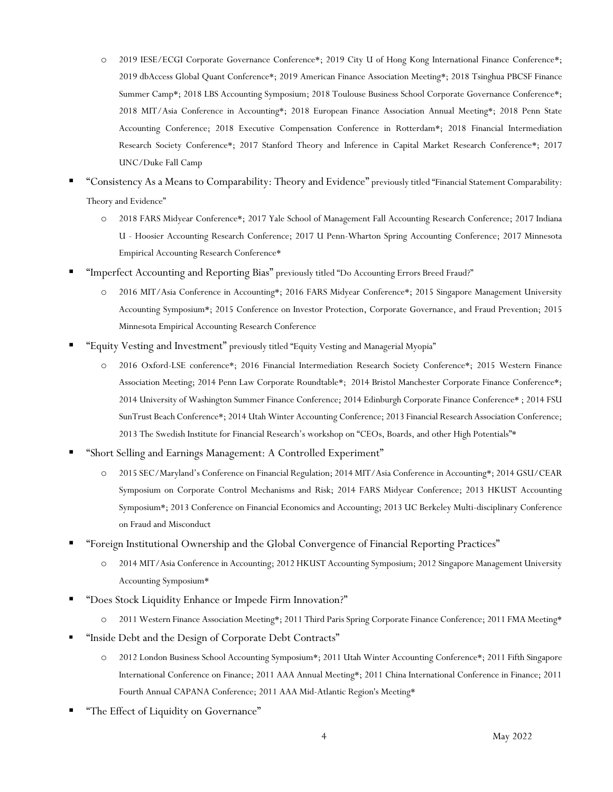- o 2019 IESE/ECGI Corporate Governance Conference\*; 2019 City U of Hong Kong International Finance Conference\*; 2019 dbAccess Global Quant Conference\*; 2019 American Finance Association Meeting\*; 2018 Tsinghua PBCSF Finance Summer Camp\*; 2018 LBS Accounting Symposium; 2018 Toulouse Business School Corporate Governance Conference\*; 2018 MIT/Asia Conference in Accounting\*; 2018 European Finance Association Annual Meeting\*; 2018 Penn State Accounting Conference; 2018 Executive Compensation Conference in Rotterdam\*; 2018 Financial Intermediation Research Society Conference\*; 2017 Stanford Theory and Inference in Capital Market Research Conference\*; 2017 UNC/Duke Fall Camp
- "Consistency As a Means to Comparability: Theory and Evidence" previously titled "Financial Statement Comparability: Theory and Evidence"
	- o 2018 FARS Midyear Conference\*; 2017 Yale School of Management Fall Accounting Research Conference; 2017 Indiana U - Hoosier Accounting Research Conference; 2017 U Penn-Wharton Spring Accounting Conference; 2017 Minnesota Empirical Accounting Research Conference\*
- "Imperfect Accounting and Reporting Bias" previously titled "Do Accounting Errors Breed Fraud?"
	- o 2016 MIT/Asia Conference in Accounting\*; 2016 FARS Midyear Conference\*; 2015 Singapore Management University Accounting Symposium\*; 2015 Conference on Investor Protection, Corporate Governance, and Fraud Prevention; 2015 Minnesota Empirical Accounting Research Conference
- "Equity Vesting and Investment" previously titled "Equity Vesting and Managerial Myopia"
	- o 2016 Oxford-LSE conference\*; 2016 Financial Intermediation Research Society Conference\*; 2015 Western Finance Association Meeting; 2014 Penn Law Corporate Roundtable\*; 2014 Bristol Manchester Corporate Finance Conference\*; 2014 University of Washington Summer Finance Conference; 2014 Edinburgh Corporate Finance Conference\* ; 2014 FSU SunTrust Beach Conference\*; 2014 Utah Winter Accounting Conference; 2013 Financial Research Association Conference; 2013 The Swedish Institute for Financial Research's workshop on "CEOs, Boards, and other High Potentials"\*
- "Short Selling and Earnings Management: A Controlled Experiment"
	- o 2015 SEC/Maryland's Conference on Financial Regulation; 2014 MIT/Asia Conference in Accounting\*; 2014 GSU/CEAR Symposium on Corporate Control Mechanisms and Risk; 2014 FARS Midyear Conference; 2013 HKUST Accounting Symposium\*; 2013 Conference on Financial Economics and Accounting; 2013 UC Berkeley Multi-disciplinary Conference on Fraud and Misconduct
- "Foreign Institutional Ownership and the Global Convergence of Financial Reporting Practices"
	- o 2014 MIT/Asia Conference in Accounting; 2012 HKUST Accounting Symposium; 2012 Singapore Management University Accounting Symposium\*
- "Does Stock Liquidity Enhance or Impede Firm Innovation?"
	- o 2011 Western Finance Association Meeting\*; 2011 Third Paris Spring Corporate Finance Conference; 2011 FMA Meeting\*
- "Inside Debt and the Design of Corporate Debt Contracts"
	- o 2012 London Business School Accounting Symposium\*; 2011 Utah Winter Accounting Conference\*; 2011 Fifth Singapore International Conference on Finance; 2011 AAA Annual Meeting\*; 2011 China International Conference in Finance; 2011 Fourth Annual CAPANA Conference; 2011 AAA Mid-Atlantic Region's Meeting\*
- "The Effect of Liquidity on Governance"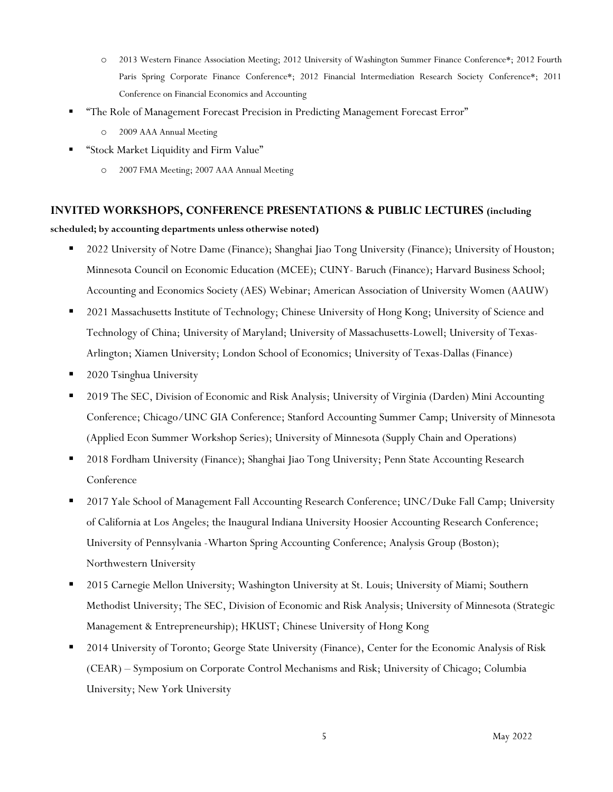- o 2013 Western Finance Association Meeting; 2012 University of Washington Summer Finance Conference\*; 2012 Fourth Paris Spring Corporate Finance Conference\*; 2012 Financial Intermediation Research Society Conference\*; 2011 Conference on Financial Economics and Accounting
- "The Role of Management Forecast Precision in Predicting Management Forecast Error"
	- o 2009 AAA Annual Meeting
- "Stock Market Liquidity and Firm Value"
	- o 2007 FMA Meeting; 2007 AAA Annual Meeting

#### **INVITED WORKSHOPS, CONFERENCE PRESENTATIONS & PUBLIC LECTURES (including**

**scheduled; by accounting departments unless otherwise noted)**

- 2022 University of Notre Dame (Finance); Shanghai Jiao Tong University (Finance); University of Houston; Minnesota Council on Economic Education (MCEE); CUNY- Baruch (Finance); Harvard Business School; Accounting and Economics Society (AES) Webinar; American Association of University Women (AAUW)
- 2021 Massachusetts Institute of Technology; Chinese University of Hong Kong; University of Science and Technology of China; University of Maryland; University of Massachusetts-Lowell; University of Texas-Arlington; Xiamen University; London School of Economics; University of Texas-Dallas (Finance)
- 2020 Tsinghua University
- 2019 The SEC, Division of Economic and Risk Analysis; University of Virginia (Darden) Mini Accounting Conference; Chicago/UNC GIA Conference; Stanford Accounting Summer Camp; University of Minnesota (Applied Econ Summer Workshop Series); University of Minnesota (Supply Chain and Operations)
- 2018 Fordham University (Finance); Shanghai Jiao Tong University; Penn State Accounting Research Conference
- 2017 Yale School of Management Fall Accounting Research Conference; UNC/Duke Fall Camp; University of California at Los Angeles; the Inaugural Indiana University Hoosier Accounting Research Conference; University of Pennsylvania -Wharton Spring Accounting Conference; Analysis Group (Boston); Northwestern University
- 2015 Carnegie Mellon University; Washington University at St. Louis; University of Miami; Southern Methodist University; The SEC, Division of Economic and Risk Analysis; University of Minnesota (Strategic Management & Entrepreneurship); HKUST; Chinese University of Hong Kong
- 2014 University of Toronto; George State University (Finance), Center for the Economic Analysis of Risk (CEAR) – Symposium on Corporate Control Mechanisms and Risk; University of Chicago; Columbia University; New York University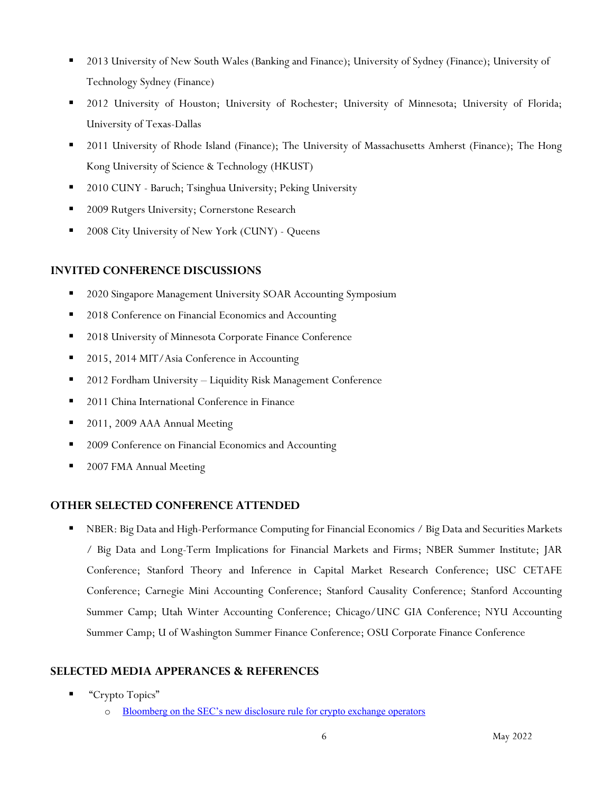- 2013 University of New South Wales (Banking and Finance); University of Sydney (Finance); University of Technology Sydney (Finance)
- 2012 University of Houston; University of Rochester; University of Minnesota; University of Florida; University of Texas-Dallas
- 2011 University of Rhode Island (Finance); The University of Massachusetts Amherst (Finance); The Hong Kong University of Science & Technology (HKUST)
- 2010 CUNY Baruch; Tsinghua University; Peking University
- 2009 Rutgers University; Cornerstone Research
- 2008 City University of New York (CUNY) Queens

# **INVITED CONFERENCE DISCUSSIONS**

- 2020 Singapore Management University SOAR Accounting Symposium
- 2018 Conference on Financial Economics and Accounting
- 2018 University of Minnesota Corporate Finance Conference
- 2015, 2014 MIT/Asia Conference in Accounting
- 2012 Fordham University Liquidity Risk Management Conference
- 2011 China International Conference in Finance
- 2011, 2009 AAA Annual Meeting
- 2009 Conference on Financial Economics and Accounting
- 2007 FMA Annual Meeting

# **OTHER SELECTED CONFERENCE ATTENDED**

■ NBER: Big Data and High-Performance Computing for Financial Economics / Big Data and Securities Markets / Big Data and Long-Term Implications for Financial Markets and Firms; NBER Summer Institute; JAR Conference; Stanford Theory and Inference in Capital Market Research Conference; USC CETAFE Conference; Carnegie Mini Accounting Conference; Stanford Causality Conference; Stanford Accounting Summer Camp; Utah Winter Accounting Conference; Chicago/UNC GIA Conference; NYU Accounting Summer Camp; U of Washington Summer Finance Conference; OSU Corporate Finance Conference

# **SELECTED MEDIA APPERANCES & REFERENCES**

- "Crypto Topics"
	- o [Bloomberg on the SEC's new disclosure rule for crypto exchange operators](https://news.bloombergtax.com/financial-accounting/crypto-accounting-guidance-delivers-mixed-bag-of-hope-questions)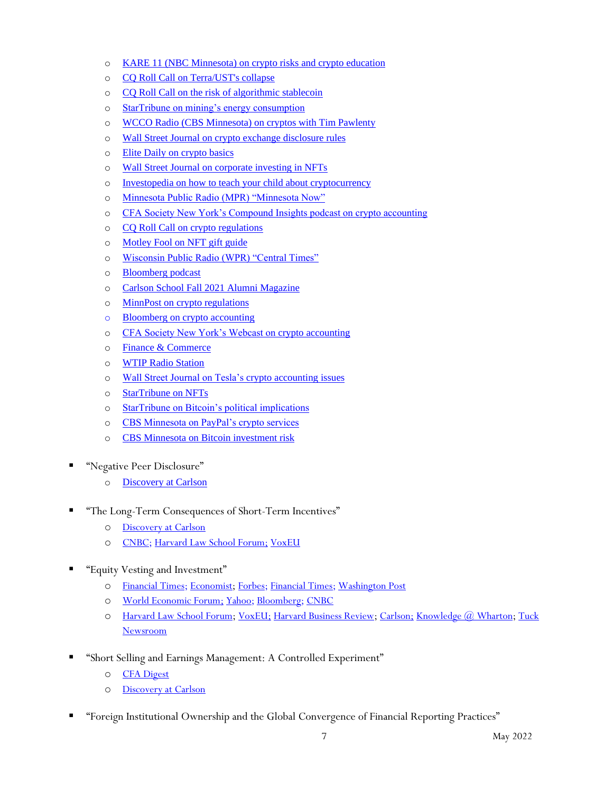- o [KARE 11 \(NBC Minnesota\) on crypto risks and crypto education](https://www.kare11.com/article/news/local/kare11-extras/cryptocurrencys-future-met-fear-excitement/89-536629f2-2212-4ec6-94f0-7b579e8f9684)
- o [CQ Roll Call on Terra/UST's collapse](https://www.msn.com/en-us/news/politics/terra-s-stablecoin-flop-raises-questions-about-regulatory-role/ar-AAXmo5X)
- o [CQ Roll Call on the risk of algorithmic stablecoin](https://rollcall.com/2022/05/03/critics-see-risk-in-algorithmic-stablecoins/)
- o [StarTribune on mining's energy consumption](https://www.startribune.com/crypto-boom-a-boon-for-electricity-providers-but-questionable-for-climate/600169438/)
- o [WCCO Radio \(CBS Minnesota\) on cryptos with Tim Pawlenty](https://omny.fm/shows/cory-hepola/what-is-the-future-of-cryptocurrency)
- o [Wall Street Journal on crypto exchange disclosure rules](https://www.wsj.com/articles/sec-tells-exchanges-to-treat-customer-crypto-holdings-as-liabilities-11648743902?redirect=amp)
- o [Elite Daily on crypto basics](https://www.elitedaily.com/news/cryptocurrency-explained-value-investing-what-to-know)
- o Wall Street Journal on [corporate investing in NFTs](https://www.wsj.com/articles/more-u-s-companies-wade-into-nfts-despite-lack-of-accounting-rules-11647855001)
- o [Investopedia on how to teach your child about cryptocurrency](https://www.investopedia.com/how-to-teach-your-child-about-cryptocurrency-5220573)
- o [Minnesota Public Radio \(MPR\) "Minnesota Now"](https://www.mprnews.org/episode/2022/02/07/the-new-world-of-nfts-nonfungible-tokens-and-why-they-matter)
- o [CFA Society New York's Compound Insights podcast on crypto accounting](https://cfasocietynewyork.libsyn.com/website/what-every-analyst-needs-to-know-about-cybersecurity-accounting)
- o [CQ Roll Call on crypto regulations](https://rollcall.com/2021/12/07/cryptocurrency-outlook-may-depend-on-which-agency-is-supervising/)
- o [Motley Fool on NFT gift guide](https://www.fool.com/the-ascent/cryptocurrency/articles/ultimate-nft-gift-guide/)
- o [Wisconsin Public Radio \(WPR\) "Central Times"](https://www.wpr.org/what-i-dont-understand-how-cryptocurrencies-work)
- o [Bloomberg podcast](https://podcasts.apple.com/us/podcast/cryptos-wild-swings-are-accountants-nightmares/id1247619396?i=1000543778260)
- o [Carlson School Fall 2021 Alumni Magazine](https://carlsonschool.umn.edu/news/beyond-bitcoin)
- o [MinnPost on crypto regulations](https://www.minnpost.com/national/2021/10/why-rep-tom-emmer-wants-congress-to-start-taking-cryptocurrency-seriously/)
- o Bloomberg [on crypto accounting](https://news.bloombergtax.com/financial-accounting/investors-in-the-dark-on-crypto-join-push-for-accounting-rules)
- o [CFA Society New York's Webcast on crypto accounting](http://cfany.gallery.video/fullconference/detail/videos/the-accounting-of-cryptoassets:-understanding-the-financial-reporting-implications-of-a-new-asset-class_/video/6270620388001/the-accounting-of-cryptoassets:-understanding-the-financial-reporting-implications-of-a-new-asset-class?autoStart=true)
- o [Finance & Commerce](https://finance-commerce.com/2021/08/qa-u-of-ms-vivian-fang-on-the-wild-west-of-cryptocurrencies/)
- o [WTIP Radio Station](https://www.wtip.org/cryptocurrencies-what-are-they-and-what-are-they)
- o [Wall Street Journal on Tesla's crypto accounting issues](https://www.wsj.com/articles/tesla-vehicle-deliveries-rise-though-bitcoin-bet-may-dent-earnings-11625230809?mod=hp_lista_pos2&fbclid=IwAR3GzLR1Pvn9TysHoFRYr5gj5JmyovdtawZxp99fPfTVKTc6qnr0kCWg7tk)
- o [StarTribune on NFTs](https://www.startribune.com/what-the-heck-are-non-fungible-tokens-and-why-should-you-care/600045374/)
- o [StarTribune on Bitcoin's political implications](https://m.startribune.com/supporting-cryptocurrency-emmer-carves-a-niche-with-congressional-high-tech-crowd/600035789/?fbclid=IwAR3vKYSTtbGnZbb1xKyYG-Yrh5owhpcKmm8-LCKAOmtP2Ut16cWi5Yk6wO4)
- o [CBS Minnesota on PayPal's crypto services](https://minnesota.cbslocal.com/2021/03/30/how-will-spending-cryptocurrency-online-work/)
- o [CBS Minnesota on Bitcoin investment risk](https://minnesota.cbslocal.com/2021/02/22/us-treasury-secretary-issues-warning-on-bitcoin-over-extreme-price-movements/?fbclid=IwAR3HsUtdz_eHkISr_yY1_OFgS5NgDnbQxCwtFDJigJmCoQfxloIu5pW8XmI)
- "Negative Peer Disclosure"
	- o [Discovery at Carlson](https://carlsonschool.umn.edu/news/risks-and-rewards-negative-peer-disclosures)
- "The Long-Term Consequences of Short-Term Incentives"
	- o [Discovery at Carlson](https://carlsonschool.umn.edu/news/vested-interest)
	- o [CNBC;](https://www.cnbc.com/video/2018/06/19/sec-commissioner-why-we-need-to-re-examine-share-buyback-rules.html) [Harvard Law School Forum;](https://corpgov.law.harvard.edu/2017/10/04/the-long-term-consequences-of-short-term-incentives/) [VoxEU](http://voxeu.org/article/long-term-consequences-short-term-incentives)
- "Equity Vesting and Investment"
	- o [Financial Times;](https://www.ft.com/content/ea1bb998-b884-11e6-ba85-95d1533d9a62) [Economist;](http://www.economist.com/news/finance-and-economics/21595985-when-bosses-take-short-view-law-unintended-consequences) [Forbes;](http://www.forbes.com/sites/stevedenning/2014/12/24/reward-directors-poor-performance-with-a-hefty-raise/) [Financial Times;](http://www.ft.com/intl/cms/s/0/7399a1de-3516-11e4-aa47-00144feabdc0.html) [Washington Post](http://www.washingtonpost.com/blogs/on-leadership/wp/2014/02/11/how-stock-options-lead-ceos-to-put-their-own-interests-first/)
	- o [World Economic Forum;](https://forumblog.org/2014/11/how-should-ceos-be-paid/) [Yahoo;](http://finance.yahoo.com/news/wrds-best-paper-award-research-143500595.html) [Bloomberg;](http://www.bloomberg.com/research/markets/news/article.asp?docKey=600-201601110935BIZWIRE_USPRX____BW5030-1) [CNBC](http://www.cnbc.com/2016/01/11/business-wire-wrds-best-paper-award-for-research-that-examines-ceo-compensation-structure-a-short-term-contracts-induce-ceos-to-cut.html)
	- o [Harvard Law School Forum;](http://blogs.law.harvard.edu/corpgov/2013/10/09/equity-vesting-and-managerial-myopia/) [VoxEU;](http://voxeu.org/article/getting-companies-invest-long-term) [Harvard Business Review;](https://hbr.org/2016/07/stop-making-ceo-pay-a-political-issue) [Carlson;](http://carlsonschool.umn.edu/news/assistant-professor-vivian-fang-wins-wharton-school-wrds-award) [Knowledge @ Wharton;](http://knowledge.wharton.upenn.edu/article/managerial-myopia-ceos-pump-earnings-gain/) [Tuck](http://www.tuck.dartmouth.edu/newsroom/articles/do-managers-cut-investment-when-they-plan-to-sell-stock)  [Newsroom](http://www.tuck.dartmouth.edu/newsroom/articles/do-managers-cut-investment-when-they-plan-to-sell-stock)
- "Short Selling and Earnings Management: A Controlled Experiment"
	- o [CFA Digest](http://www.cfapubs.org/doi/abs/10.2469/dig.v46.n11.4)
	- o Discovery at Carlson
- "Foreign Institutional Ownership and the Global Convergence of Financial Reporting Practices"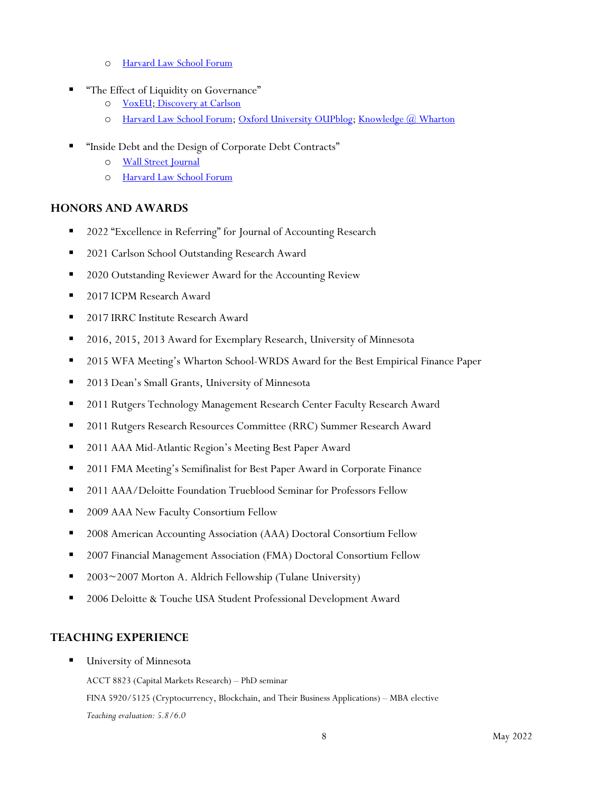- o [Harvard Law School Forum](http://corpgov.law.harvard.edu/2015/06/09/foreign-institutional-ownership-and-the-global-convergence-of-financial-reporting/)
- "The Effect of Liquidity on Governance"
	- o [VoxEU;](http://www.voxeu.org/article/stock-market-turnover-and-corporate-governance) Discovery at Carlson
	- o [Harvard Law School Forum;](http://blogs.law.harvard.edu/corpgov/2011/08/26/the-effect-of-liquidity-on-governance/) [Oxford University OUPblog;](http://blog.oup.com/2013/04/is-stock-market-trading-good-for-society/) [Knowledge @ Wharton](http://knowledge.wharton.upenn.edu/article.cfm?articleid=2846)
- "Inside Debt and the Design of Corporate Debt Contracts"
	- o [Wall Street Journal](http://online.wsj.com/article/SB10001424052970203462304577138691466777460.html)
	- o [Harvard Law School Forum](http://blogs.law.harvard.edu/corpgov/2011/01/05/inside-debt-and-the-design-of-corporate-contract/)

# **HONORS AND AWARDS**

- 2022 "Excellence in Referring" for Journal of Accounting Research
- 2021 Carlson School Outstanding Research Award
- 2020 Outstanding Reviewer Award for the Accounting Review
- 2017 ICPM Research Award
- 2017 IRRC Institute Research Award
- 2016, 2015, 2013 Award for Exemplary Research, University of Minnesota
- 2015 WFA Meeting's Wharton School-WRDS Award for the Best Empirical Finance Paper
- 2013 Dean's Small Grants, University of Minnesota
- 2011 Rutgers Technology Management Research Center Faculty Research Award
- 2011 Rutgers Research Resources Committee (RRC) Summer Research Award
- 2011 AAA Mid-Atlantic Region's Meeting Best Paper Award
- 2011 FMA Meeting's Semifinalist for Best Paper Award in Corporate Finance
- 2011 AAA/Deloitte Foundation Trueblood Seminar for Professors Fellow
- 2009 AAA New Faculty Consortium Fellow
- 2008 American Accounting Association (AAA) Doctoral Consortium Fellow
- 2007 Financial Management Association (FMA) Doctoral Consortium Fellow
- 2003~2007 Morton A. Aldrich Fellowship (Tulane University)
- 2006 Deloitte & Touche USA Student Professional Development Award

# **TEACHING EXPERIENCE**

**University of Minnesota** 

ACCT 8823 (Capital Markets Research) – PhD seminar FINA 5920/5125 (Cryptocurrency, Blockchain, and Their Business Applications) – MBA elective *Teaching evaluation: 5.8/6.0*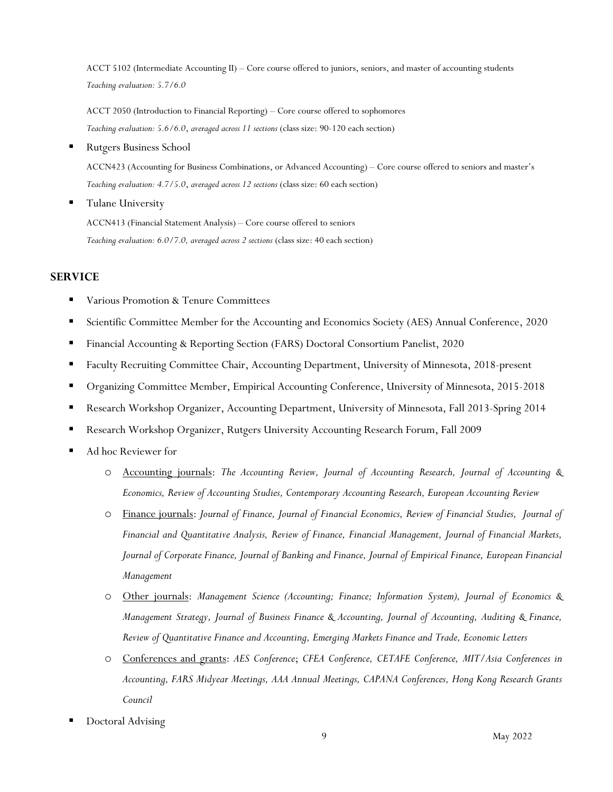ACCT 5102 (Intermediate Accounting II) – Core course offered to juniors, seniors, and master of accounting students *Teaching evaluation: 5.7/6.0*

ACCT 2050 (Introduction to Financial Reporting) – Core course offered to sophomores *Teaching evaluation: 5.6/6.0*, *averaged across 11 sections* (class size: 90-120 each section)

Rutgers Business School

ACCN423 (Accounting for Business Combinations, or Advanced Accounting) – Core course offered to seniors and master's *Teaching evaluation: 4.7/5.0*, *averaged across 12 sections* (class size: 60 each section)

Tulane University

ACCN413 (Financial Statement Analysis) – Core course offered to seniors *Teaching evaluation: 6.0/7.0, averaged across 2 sections* (class size: 40 each section)

#### **SERVICE**

- Various Promotion & Tenure Committees
- Scientific Committee Member for the Accounting and Economics Society (AES) Annual Conference, 2020
- Financial Accounting & Reporting Section (FARS) Doctoral Consortium Panelist, 2020
- Faculty Recruiting Committee Chair, Accounting Department, University of Minnesota, 2018-present
- Organizing Committee Member, Empirical Accounting Conference, University of Minnesota, 2015-2018
- Research Workshop Organizer, Accounting Department, University of Minnesota, Fall 2013-Spring 2014
- Research Workshop Organizer, Rutgers University Accounting Research Forum, Fall 2009
- Ad hoc Reviewer for
	- o Accounting journals: *The Accounting Review, Journal of Accounting Research, Journal of Accounting & Economics, Review of Accounting Studies, Contemporary Accounting Research, European Accounting Review*
	- o Finance journals: *Journal of Finance, Journal of Financial Economics, Review of Financial Studies, Journal of Financial and Quantitative Analysis, Review of Finance, Financial Management, Journal of Financial Markets, Journal of Corporate Finance, Journal of Banking and Finance, Journal of Empirical Finance, European Financial Management*
	- o Other journals: *Management Science (Accounting; Finance; Information System), Journal of Economics & Management Strategy, Journal of Business Finance & Accounting, Journal of Accounting, Auditing & Finance, Review of Quantitative Finance and Accounting, Emerging Markets Finance and Trade, Economic Letters*
	- o Conferences and grants: *AES Conference*; *CFEA Conference, CETAFE Conference, MIT/Asia Conferences in Accounting, FARS Midyear Meetings, AAA Annual Meetings, CAPANA Conferences, Hong Kong Research Grants Council*
- Doctoral Advising